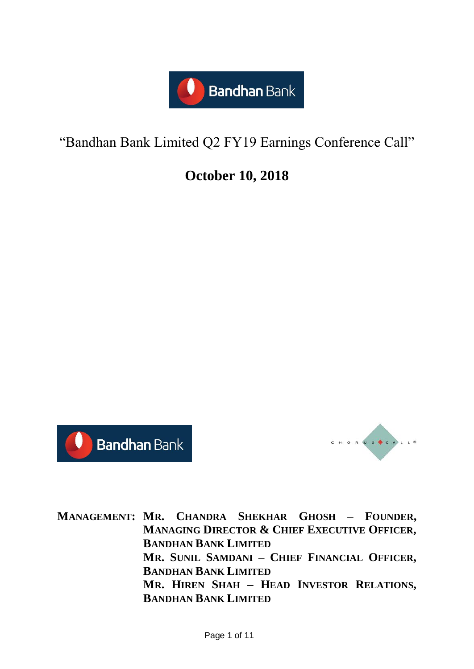

# "Bandhan Bank Limited Q2 FY19 Earnings Conference Call"

# **October 10, 2018**





**MANAGEMENT: MR. CHANDRA SHEKHAR GHOSH – FOUNDER, MANAGING DIRECTOR & CHIEF EXECUTIVE OFFICER, BANDHAN BANK LIMITED MR. SUNIL SAMDANI – CHIEF FINANCIAL OFFICER, BANDHAN BANK LIMITED MR. HIREN SHAH – HEAD INVESTOR RELATIONS, BANDHAN BANK LIMITED**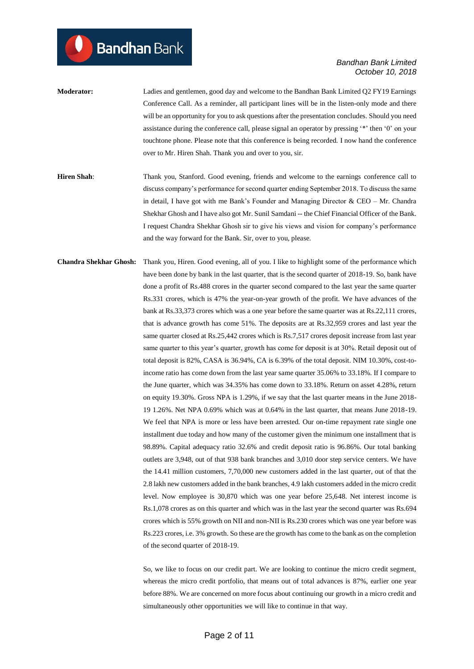- **Moderator:** Ladies and gentlemen, good day and welcome to the Bandhan Bank Limited Q2 FY19 Earnings Conference Call. As a reminder, all participant lines will be in the listen-only mode and there will be an opportunity for you to ask questions after the presentation concludes. Should you need assistance during the conference call, please signal an operator by pressing '\*' then '0' on your touchtone phone. Please note that this conference is being recorded. I now hand the conference over to Mr. Hiren Shah. Thank you and over to you, sir.
- **Hiren Shah**: Thank you, Stanford. Good evening, friends and welcome to the earnings conference call to discuss company's performance for second quarter ending September 2018. To discuss the same in detail, I have got with me Bank's Founder and Managing Director  $\&$  CEO – Mr. Chandra Shekhar Ghosh and I have also got Mr. Sunil Samdani -- the Chief Financial Officer of the Bank. I request Chandra Shekhar Ghosh sir to give his views and vision for company's performance and the way forward for the Bank. Sir, over to you, please.
- **Chandra Shekhar Ghosh:** Thank you, Hiren. Good evening, all of you. I like to highlight some of the performance which have been done by bank in the last quarter, that is the second quarter of 2018-19. So, bank have done a profit of Rs.488 crores in the quarter second compared to the last year the same quarter Rs.331 crores, which is 47% the year-on-year growth of the profit. We have advances of the bank at Rs.33,373 crores which was a one year before the same quarter was at Rs.22,111 crores, that is advance growth has come 51%. The deposits are at Rs.32,959 crores and last year the same quarter closed at Rs.25,442 crores which is Rs.7,517 crores deposit increase from last year same quarter to this year's quarter, growth has come for deposit is at 30%. Retail deposit out of total deposit is 82%, CASA is 36.94%, CA is 6.39% of the total deposit. NIM 10.30%, cost-toincome ratio has come down from the last year same quarter 35.06% to 33.18%. If I compare to the June quarter, which was 34.35% has come down to 33.18%. Return on asset 4.28%, return on equity 19.30%. Gross NPA is 1.29%, if we say that the last quarter means in the June 2018- 19 1.26%. Net NPA 0.69% which was at 0.64% in the last quarter, that means June 2018-19. We feel that NPA is more or less have been arrested. Our on-time repayment rate single one installment due today and how many of the customer given the minimum one installment that is 98.89%. Capital adequacy ratio 32.6% and credit deposit ratio is 96.86%. Our total banking outlets are 3,948, out of that 938 bank branches and 3,010 door step service centers. We have the 14.41 million customers, 7,70,000 new customers added in the last quarter, out of that the 2.8 lakh new customers added in the bank branches, 4.9 lakh customers added in the micro credit level. Now employee is 30,870 which was one year before 25,648. Net interest income is Rs.1,078 crores as on this quarter and which was in the last year the second quarter was Rs.694 crores which is 55% growth on NII and non-NII is Rs.230 crores which was one year before was Rs.223 crores, i.e. 3% growth. So these are the growth has come to the bank as on the completion of the second quarter of 2018-19.

So, we like to focus on our credit part. We are looking to continue the micro credit segment, whereas the micro credit portfolio, that means out of total advances is 87%, earlier one year before 88%. We are concerned on more focus about continuing our growth in a micro credit and simultaneously other opportunities we will like to continue in that way.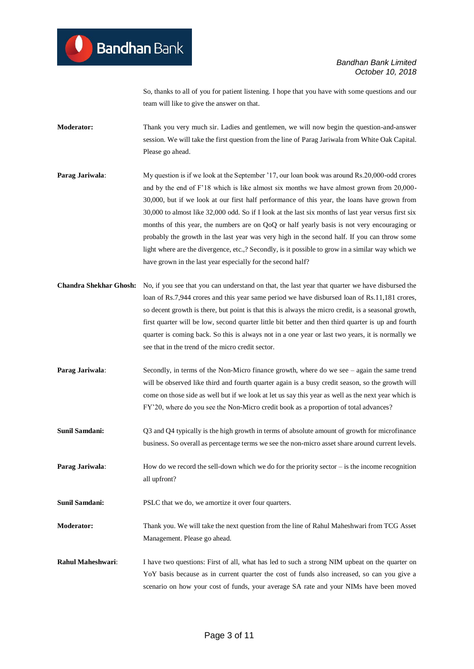So, thanks to all of you for patient listening. I hope that you have with some questions and our team will like to give the answer on that.

**Moderator:** Thank you very much sir. Ladies and gentlemen, we will now begin the question-and-answer session. We will take the first question from the line of Parag Jariwala from White Oak Capital. Please go ahead.

- **Parag Jariwala:** My question is if we look at the September '17, our loan book was around Rs.20,000-odd crores and by the end of F'18 which is like almost six months we have almost grown from 20,000- 30,000, but if we look at our first half performance of this year, the loans have grown from 30,000 to almost like 32,000 odd. So if I look at the last six months of last year versus first six months of this year, the numbers are on QoQ or half yearly basis is not very encouraging or probably the growth in the last year was very high in the second half. If you can throw some light where are the divergence, etc.,? Secondly, is it possible to grow in a similar way which we have grown in the last year especially for the second half?
- **Chandra Shekhar Ghosh:** No, if you see that you can understand on that, the last year that quarter we have disbursed the loan of Rs.7,944 crores and this year same period we have disbursed loan of Rs.11,181 crores, so decent growth is there, but point is that this is always the micro credit, is a seasonal growth, first quarter will be low, second quarter little bit better and then third quarter is up and fourth quarter is coming back. So this is always not in a one year or last two years, it is normally we see that in the trend of the micro credit sector.
- **Parag Jariwala:** Secondly, in terms of the Non-Micro finance growth, where do we see again the same trend will be observed like third and fourth quarter again is a busy credit season, so the growth will come on those side as well but if we look at let us say this year as well as the next year which is FY'20, where do you see the Non-Micro credit book as a proportion of total advances?
- **Sunil Samdani:** Q3 and Q4 typically is the high growth in terms of absolute amount of growth for microfinance business. So overall as percentage terms we see the non-micro asset share around current levels.
- **Parag Jariwala:** How do we record the sell-down which we do for the priority sector is the income recognition all upfront?
- **Sunil Samdani:** PSLC that we do, we amortize it over four quarters.
- **Moderator:** Thank you. We will take the next question from the line of Rahul Maheshwari from TCG Asset Management. Please go ahead.
- **Rahul Maheshwari:** I have two questions: First of all, what has led to such a strong NIM upbeat on the quarter on YoY basis because as in current quarter the cost of funds also increased, so can you give a scenario on how your cost of funds, your average SA rate and your NIMs have been moved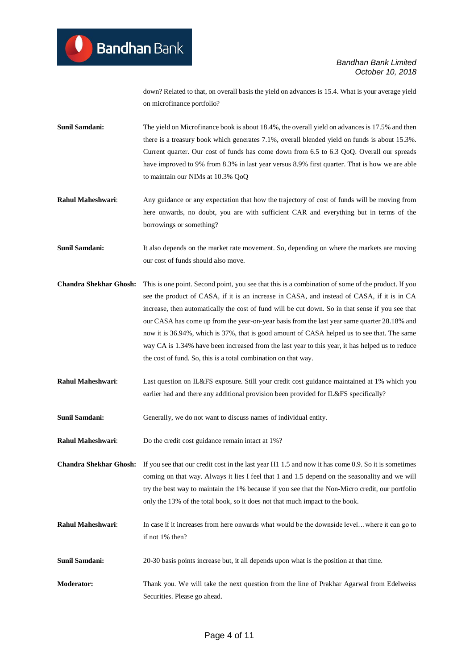down? Related to that, on overall basis the yield on advances is 15.4. What is your average yield on microfinance portfolio?

**Sunil Samdani:** The yield on Microfinance book is about 18.4%, the overall yield on advances is 17.5% and then there is a treasury book which generates 7.1%, overall blended yield on funds is about 15.3%. Current quarter. Our cost of funds has come down from 6.5 to 6.3 QoQ. Overall our spreads have improved to 9% from 8.3% in last year versus 8.9% first quarter. That is how we are able to maintain our NIMs at 10.3% QoQ

**Rahul Maheshwari:** Any guidance or any expectation that how the trajectory of cost of funds will be moving from here onwards, no doubt, you are with sufficient CAR and everything but in terms of the borrowings or something?

**Sunil Samdani:** It also depends on the market rate movement. So, depending on where the markets are moving our cost of funds should also move.

**Chandra Shekhar Ghosh:** This is one point. Second point, you see that this is a combination of some of the product. If you see the product of CASA, if it is an increase in CASA, and instead of CASA, if it is in CA increase, then automatically the cost of fund will be cut down. So in that sense if you see that our CASA has come up from the year-on-year basis from the last year same quarter 28.18% and now it is 36.94%, which is 37%, that is good amount of CASA helped us to see that. The same way CA is 1.34% have been increased from the last year to this year, it has helped us to reduce the cost of fund. So, this is a total combination on that way.

**Rahul Maheshwari**: Last question on IL&FS exposure. Still your credit cost guidance maintained at 1% which you earlier had and there any additional provision been provided for IL&FS specifically?

Sunil Samdani: Generally, we do not want to discuss names of individual entity.

**Rahul Maheshwari:** Do the credit cost guidance remain intact at 1%?

**Chandra Shekhar Ghosh:** If you see that our credit cost in the last year H1 1.5 and now it has come 0.9. So it is sometimes coming on that way. Always it lies I feel that 1 and 1.5 depend on the seasonality and we will try the best way to maintain the 1% because if you see that the Non-Micro credit, our portfolio only the 13% of the total book, so it does not that much impact to the book.

**Rahul Maheshwari**: In case if it increases from here onwards what would be the downside level…where it can go to if not 1% then?

**Sunil Samdani:** 20-30 basis points increase but, it all depends upon what is the position at that time.

**Moderator:** Thank you. We will take the next question from the line of Prakhar Agarwal from Edelweiss Securities. Please go ahead.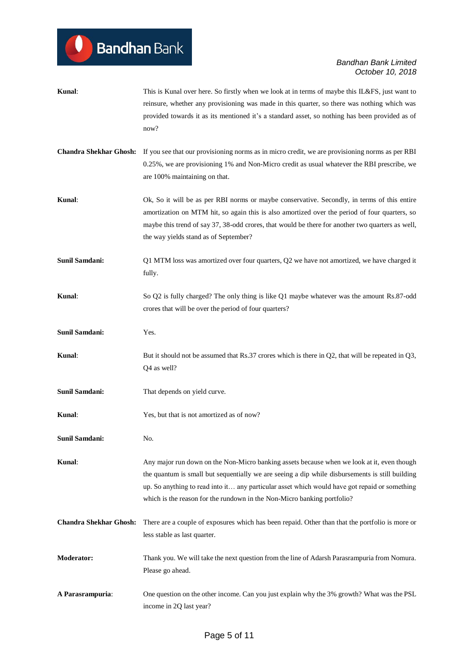$\bullet$ 

# *Bandhan Bank Limited October 10, 2018*

| Kunal:                        | This is Kunal over here. So firstly when we look at in terms of maybe this IL&FS, just want to<br>reinsure, whether any provisioning was made in this quarter, so there was nothing which was<br>provided towards it as its mentioned it's a standard asset, so nothing has been provided as of<br>now?                                                                   |
|-------------------------------|---------------------------------------------------------------------------------------------------------------------------------------------------------------------------------------------------------------------------------------------------------------------------------------------------------------------------------------------------------------------------|
| <b>Chandra Shekhar Ghosh:</b> | If you see that our provisioning norms as in micro credit, we are provisioning norms as per RBI<br>0.25%, we are provisioning 1% and Non-Micro credit as usual whatever the RBI prescribe, we<br>are 100% maintaining on that.                                                                                                                                            |
| Kunal:                        | Ok, So it will be as per RBI norms or maybe conservative. Secondly, in terms of this entire<br>amortization on MTM hit, so again this is also amortized over the period of four quarters, so<br>maybe this trend of say 37, 38-odd crores, that would be there for another two quarters as well,<br>the way yields stand as of September?                                 |
| Sunil Samdani:                | Q1 MTM loss was amortized over four quarters, Q2 we have not amortized, we have charged it<br>fully.                                                                                                                                                                                                                                                                      |
| Kunal:                        | So Q2 is fully charged? The only thing is like Q1 maybe whatever was the amount Rs.87-odd<br>crores that will be over the period of four quarters?                                                                                                                                                                                                                        |
| Sunil Samdani:                | Yes.                                                                                                                                                                                                                                                                                                                                                                      |
| Kunal:                        | But it should not be assumed that Rs.37 crores which is there in $Q2$ , that will be repeated in $Q3$ ,<br>Q4 as well?                                                                                                                                                                                                                                                    |
| Sunil Samdani:                | That depends on yield curve.                                                                                                                                                                                                                                                                                                                                              |
| Kunal:                        | Yes, but that is not amortized as of now?                                                                                                                                                                                                                                                                                                                                 |
| Sunil Samdani:                | No.                                                                                                                                                                                                                                                                                                                                                                       |
| Kunal:                        | Any major run down on the Non-Micro banking assets because when we look at it, even though<br>the quantum is small but sequentially we are seeing a dip while disbursements is still building<br>up. So anything to read into it any particular asset which would have got repaid or something<br>which is the reason for the rundown in the Non-Micro banking portfolio? |
| <b>Chandra Shekhar Ghosh:</b> | There are a couple of exposures which has been repaid. Other than that the portfolio is more or<br>less stable as last quarter.                                                                                                                                                                                                                                           |
| Moderator:                    | Thank you. We will take the next question from the line of Adarsh Parasrampuria from Nomura.<br>Please go ahead.                                                                                                                                                                                                                                                          |
| A Parasrampuria:              | One question on the other income. Can you just explain why the 3% growth? What was the PSL<br>income in 2Q last year?                                                                                                                                                                                                                                                     |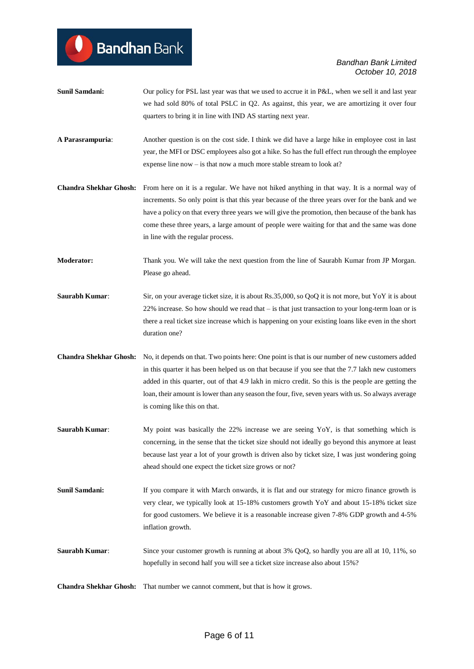**Sunil Samdani:** Our policy for PSL last year was that we used to accrue it in P&L, when we sell it and last year we had sold 80% of total PSLC in Q2. As against, this year, we are amortizing it over four quarters to bring it in line with IND AS starting next year.

**Bandhan** Bank

- **A Parasrampuria**: Another question is on the cost side. I think we did have a large hike in employee cost in last year, the MFI or DSC employees also got a hike. So has the full effect run through the employee expense line now – is that now a much more stable stream to look at?
- **Chandra Shekhar Ghosh:** From here on it is a regular. We have not hiked anything in that way. It is a normal way of increments. So only point is that this year because of the three years over for the bank and we have a policy on that every three years we will give the promotion, then because of the bank has come these three years, a large amount of people were waiting for that and the same was done in line with the regular process.

**Moderator:** Thank you. We will take the next question from the line of Saurabh Kumar from JP Morgan. Please go ahead.

- **Saurabh Kumar:** Sir, on your average ticket size, it is about Rs.35,000, so QoQ it is not more, but YoY it is about 22% increase. So how should we read that – is that just transaction to your long-term loan or is there a real ticket size increase which is happening on your existing loans like even in the short duration one?
- **Chandra Shekhar Ghosh:** No, it depends on that. Two points here: One point is that is our number of new customers added in this quarter it has been helped us on that because if you see that the 7.7 lakh new customers added in this quarter, out of that 4.9 lakh in micro credit. So this is the people are getting the loan, their amount is lower than any season the four, five, seven years with us. So always average is coming like this on that.
- **Saurabh Kumar**: My point was basically the 22% increase we are seeing YoY, is that something which is concerning, in the sense that the ticket size should not ideally go beyond this anymore at least because last year a lot of your growth is driven also by ticket size, I was just wondering going ahead should one expect the ticket size grows or not?
- **Sunil Samdani:** If you compare it with March onwards, it is flat and our strategy for micro finance growth is very clear, we typically look at 15-18% customers growth YoY and about 15-18% ticket size for good customers. We believe it is a reasonable increase given 7-8% GDP growth and 4-5% inflation growth.
- **Saurabh Kumar:** Since your customer growth is running at about 3% QoQ, so hardly you are all at 10, 11%, so hopefully in second half you will see a ticket size increase also about 15%?

**Chandra Shekhar Ghosh:** That number we cannot comment, but that is how it grows.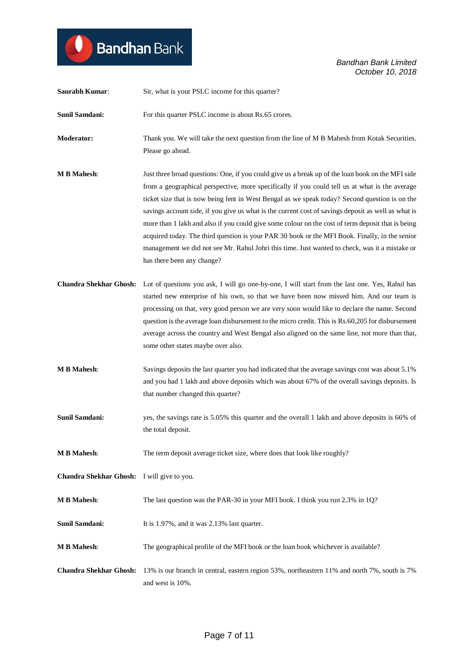$\bullet$ 

*Bandhan Bank Limited October 10, 2018*

| Saurabh Kumar:                             | Sir, what is your PSLC income for this quarter?                                                                                                                                                                                                                                                                                                                                                                                                                                                                                                                                                                                                                                                                                                     |
|--------------------------------------------|-----------------------------------------------------------------------------------------------------------------------------------------------------------------------------------------------------------------------------------------------------------------------------------------------------------------------------------------------------------------------------------------------------------------------------------------------------------------------------------------------------------------------------------------------------------------------------------------------------------------------------------------------------------------------------------------------------------------------------------------------------|
| <b>Sunil Samdani:</b>                      | For this quarter PSLC income is about Rs.65 crores.                                                                                                                                                                                                                                                                                                                                                                                                                                                                                                                                                                                                                                                                                                 |
| <b>Moderator:</b>                          | Thank you. We will take the next question from the line of M B Mahesh from Kotak Securities.<br>Please go ahead.                                                                                                                                                                                                                                                                                                                                                                                                                                                                                                                                                                                                                                    |
| <b>MB</b> Mahesh:                          | Just three broad questions: One, if you could give us a break up of the loan book on the MFI side<br>from a geographical perspective, more specifically if you could tell us at what is the average<br>ticket size that is now being lent in West Bengal as we speak today? Second question is on the<br>savings account side, if you give us what is the current cost of savings deposit as well as what is<br>more than 1 lakh and also if you could give some colour on the cost of term deposit that is being<br>acquired today. The third question is your PAR 30 book or the MFI Book. Finally, in the senior<br>management we did not see Mr. Rahul Johri this time. Just wanted to check, was it a mistake or<br>has there been any change? |
| <b>Chandra Shekhar Ghosh:</b>              | Lot of questions you ask, I will go one-by-one, I will start from the last one. Yes, Rahul has<br>started new enterprise of his own, so that we have been now missed him. And our team is<br>processing on that, very good person we are very soon would like to declare the name. Second<br>question is the average loan disbursement to the micro credit. This is Rs.60,205 for disbursement<br>average across the country and West Bengal also aligned on the same line, not more than that,<br>some other states maybe over also.                                                                                                                                                                                                               |
| <b>M B Mahesh:</b>                         | Savings deposits the last quarter you had indicated that the average savings cost was about 5.1%<br>and you had 1 lakh and above deposits which was about 67% of the overall savings deposits. Is<br>that number changed this quarter?                                                                                                                                                                                                                                                                                                                                                                                                                                                                                                              |
| <b>Sunil Samdani:</b>                      | yes, the savings rate is 5.05% this quarter and the overall 1 lakh and above deposits is 66% of<br>the total deposit.                                                                                                                                                                                                                                                                                                                                                                                                                                                                                                                                                                                                                               |
| <b>M B Mahesh:</b>                         | The term deposit average ticket size, where does that look like roughly?                                                                                                                                                                                                                                                                                                                                                                                                                                                                                                                                                                                                                                                                            |
| Chandra Shekhar Ghosh: I will give to you. |                                                                                                                                                                                                                                                                                                                                                                                                                                                                                                                                                                                                                                                                                                                                                     |
| <b>M B Mahesh:</b>                         | The last question was the PAR-30 in your MFI book. I think you run 2.3% in 1Q?                                                                                                                                                                                                                                                                                                                                                                                                                                                                                                                                                                                                                                                                      |
| Sunil Samdani:                             | It is 1.97%, and it was 2.13% last quarter.                                                                                                                                                                                                                                                                                                                                                                                                                                                                                                                                                                                                                                                                                                         |
| <b>M B Mahesh:</b>                         | The geographical profile of the MFI book or the loan book whichever is available?                                                                                                                                                                                                                                                                                                                                                                                                                                                                                                                                                                                                                                                                   |
| <b>Chandra Shekhar Ghosh:</b>              | 13% is our branch in central, eastern region 53%, northeastern 11% and north 7%, south is 7%<br>and west is 10%.                                                                                                                                                                                                                                                                                                                                                                                                                                                                                                                                                                                                                                    |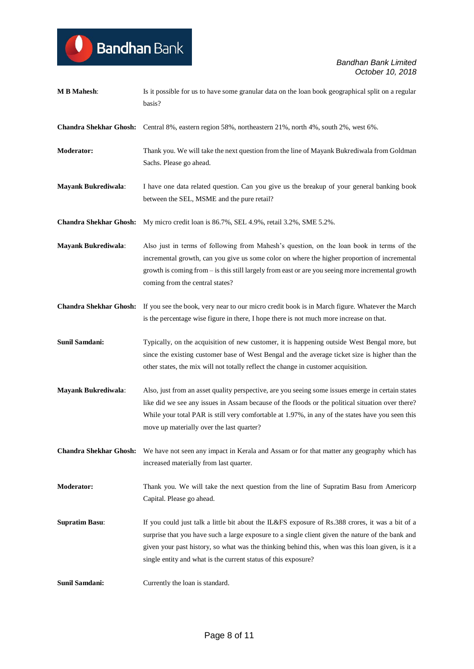$\bullet$ 

| <b>M B Mahesh:</b>            | Is it possible for us to have some granular data on the loan book geographical split on a regular<br>basis?                                                                                                                                                                                                                                                                |
|-------------------------------|----------------------------------------------------------------------------------------------------------------------------------------------------------------------------------------------------------------------------------------------------------------------------------------------------------------------------------------------------------------------------|
|                               | Chandra Shekhar Ghosh: Central 8%, eastern region 58%, northeastern 21%, north 4%, south 2%, west 6%.                                                                                                                                                                                                                                                                      |
| Moderator:                    | Thank you. We will take the next question from the line of Mayank Bukrediwala from Goldman<br>Sachs. Please go ahead.                                                                                                                                                                                                                                                      |
| <b>Mayank Bukrediwala:</b>    | I have one data related question. Can you give us the breakup of your general banking book<br>between the SEL, MSME and the pure retail?                                                                                                                                                                                                                                   |
| <b>Chandra Shekhar Ghosh:</b> | My micro credit loan is 86.7%, SEL 4.9%, retail 3.2%, SME 5.2%.                                                                                                                                                                                                                                                                                                            |
| <b>Mayank Bukrediwala:</b>    | Also just in terms of following from Mahesh's question, on the loan book in terms of the<br>incremental growth, can you give us some color on where the higher proportion of incremental<br>growth is coming from – is this still largely from east or are you seeing more incremental growth<br>coming from the central states?                                           |
|                               | Chandra Shekhar Ghosh: If you see the book, very near to our micro credit book is in March figure. Whatever the March<br>is the percentage wise figure in there, I hope there is not much more increase on that.                                                                                                                                                           |
| Sunil Samdani:                | Typically, on the acquisition of new customer, it is happening outside West Bengal more, but<br>since the existing customer base of West Bengal and the average ticket size is higher than the<br>other states, the mix will not totally reflect the change in customer acquisition.                                                                                       |
| <b>Mayank Bukrediwala:</b>    | Also, just from an asset quality perspective, are you seeing some issues emerge in certain states<br>like did we see any issues in Assam because of the floods or the political situation over there?<br>While your total PAR is still very comfortable at 1.97%, in any of the states have you seen this<br>move up materially over the last quarter?                     |
|                               | <b>Chandra Shekhar Ghosh:</b> We have not seen any impact in Kerala and Assam or for that matter any geography which has<br>increased materially from last quarter.                                                                                                                                                                                                        |
| Moderator:                    | Thank you. We will take the next question from the line of Supratim Basu from Americorp<br>Capital. Please go ahead.                                                                                                                                                                                                                                                       |
| <b>Supratim Basu:</b>         | If you could just talk a little bit about the IL&FS exposure of Rs.388 crores, it was a bit of a<br>surprise that you have such a large exposure to a single client given the nature of the bank and<br>given your past history, so what was the thinking behind this, when was this loan given, is it a<br>single entity and what is the current status of this exposure? |
| Sunil Samdani:                | Currently the loan is standard.                                                                                                                                                                                                                                                                                                                                            |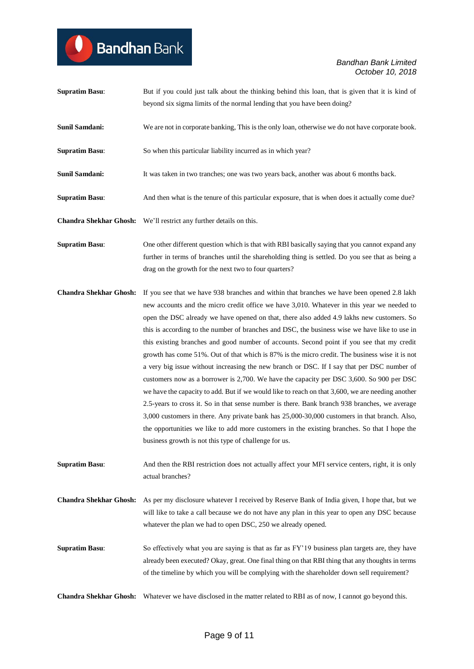- **Supratim Basu:** But if you could just talk about the thinking behind this loan, that is given that it is kind of beyond six sigma limits of the normal lending that you have been doing?
- **Sunil Samdani:** We are not in corporate banking, This is the only loan, otherwise we do not have corporate book.

**Supratim Basu:** So when this particular liability incurred as in which year?

- **Sunil Samdani:** It was taken in two tranches; one was two years back, another was about 6 months back.
- **Supratim Basu:** And then what is the tenure of this particular exposure, that is when does it actually come due?
- **Chandra Shekhar Ghosh:** We'll restrict any further details on this.

**Bandhan** Bank

**Supratim Basu:** One other different question which is that with RBI basically saying that you cannot expand any further in terms of branches until the shareholding thing is settled. Do you see that as being a drag on the growth for the next two to four quarters?

**Chandra Shekhar Ghosh:** If you see that we have 938 branches and within that branches we have been opened 2.8 lakh new accounts and the micro credit office we have 3,010. Whatever in this year we needed to open the DSC already we have opened on that, there also added 4.9 lakhs new customers. So this is according to the number of branches and DSC, the business wise we have like to use in this existing branches and good number of accounts. Second point if you see that my credit growth has come 51%. Out of that which is 87% is the micro credit. The business wise it is not a very big issue without increasing the new branch or DSC. If I say that per DSC number of customers now as a borrower is 2,700. We have the capacity per DSC 3,600. So 900 per DSC we have the capacity to add. But if we would like to reach on that 3,600, we are needing another 2.5-years to cross it. So in that sense number is there. Bank branch 938 branches, we average 3,000 customers in there. Any private bank has 25,000-30,000 customers in that branch. Also, the opportunities we like to add more customers in the existing branches. So that I hope the business growth is not this type of challenge for us.

**Supratim Basu:** And then the RBI restriction does not actually affect your MFI service centers, right, it is only actual branches?

**Chandra Shekhar Ghosh:** As per my disclosure whatever I received by Reserve Bank of India given, I hope that, but we will like to take a call because we do not have any plan in this year to open any DSC because whatever the plan we had to open DSC, 250 we already opened.

**Supratim Basu:** So effectively what you are saying is that as far as FY'19 business plan targets are, they have already been executed? Okay, great. One final thing on that RBI thing that any thoughts in terms of the timeline by which you will be complying with the shareholder down sell requirement?

**Chandra Shekhar Ghosh:** Whatever we have disclosed in the matter related to RBI as of now, I cannot go beyond this.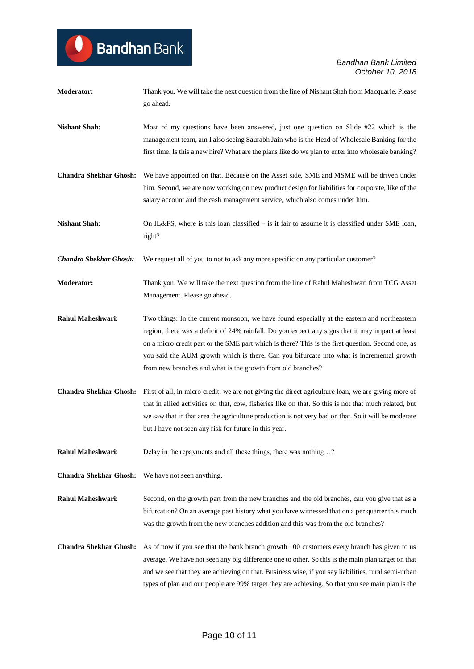**Moderator:** Thank you. We will take the next question from the line of Nishant Shah from Macquarie. Please go ahead. **Nishant Shah:** Most of my questions have been answered, just one question on Slide #22 which is the management team, am I also seeing Saurabh Jain who is the Head of Wholesale Banking for the first time. Is this a new hire? What are the plans like do we plan to enter into wholesale banking? **Chandra Shekhar Ghosh:** We have appointed on that. Because on the Asset side, SME and MSME will be driven under him. Second, we are now working on new product design for liabilities for corporate, like of the salary account and the cash management service, which also comes under him. **Nishant Shah:** On IL&FS, where is this loan classified – is it fair to assume it is classified under SME loan, right? *Chandra Shekhar Ghosh:* We request all of you to not to ask any more specific on any particular customer? **Moderator:** Thank you. We will take the next question from the line of Rahul Maheshwari from TCG Asset Management. Please go ahead. **Rahul Maheshwari**: Two things: In the current monsoon, we have found especially at the eastern and northeastern region, there was a deficit of 24% rainfall. Do you expect any signs that it may impact at least on a micro credit part or the SME part which is there? This is the first question. Second one, as you said the AUM growth which is there. Can you bifurcate into what is incremental growth from new branches and what is the growth from old branches? **Chandra Shekhar Ghosh:** First of all, in micro credit, we are not giving the direct agriculture loan, we are giving more of that in allied activities on that, cow, fisheries like on that. So this is not that much related, but we saw that in that area the agriculture production is not very bad on that. So it will be moderate but I have not seen any risk for future in this year. **Rahul Maheshwari:** Delay in the repayments and all these things, there was nothing...? **Chandra Shekhar Ghosh:** We have not seen anything. **Rahul Maheshwari**: Second, on the growth part from the new branches and the old branches, can you give that as a bifurcation? On an average past history what you have witnessed that on a per quarter this much was the growth from the new branches addition and this was from the old branches? **Chandra Shekhar Ghosh:** As of now if you see that the bank branch growth 100 customers every branch has given to us average. We have not seen any big difference one to other. So this is the main plan target on that and we see that they are achieving on that. Business wise, if you say liabilities, rural semi-urban types of plan and our people are 99% target they are achieving. So that you see main plan is the

**Bandhan** Bank